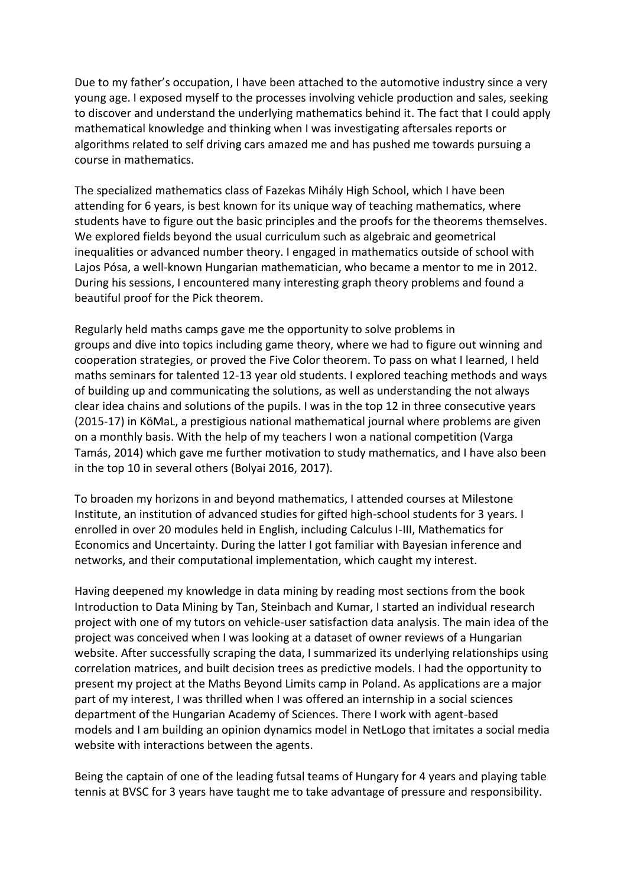Due to my father's occupation, I have been attached to the automotive industry since a very young age. I exposed myself to the processes involving vehicle production and sales, seeking to discover and understand the underlying mathematics behind it. The fact that I could apply mathematical knowledge and thinking when I was investigating aftersales reports or algorithms related to self driving cars amazed me and has pushed me towards pursuing a course in mathematics.

The specialized mathematics class of Fazekas Mihály High School, which I have been attending for 6 years, is best known for its unique way of teaching mathematics, where students have to figure out the basic principles and the proofs for the theorems themselves. We explored fields beyond the usual curriculum such as algebraic and geometrical inequalities or advanced number theory. I engaged in mathematics outside of school with Lajos Pósa, a well-known Hungarian mathematician, who became a mentor to me in 2012. During his sessions, I encountered many interesting graph theory problems and found a beautiful proof for the Pick theorem.

Regularly held maths camps gave me the opportunity to solve problems in groups and dive into topics including game theory, where we had to figure out winning and cooperation strategies, or proved the Five Color theorem. To pass on what I learned, I held maths seminars for talented 12-13 year old students. I explored teaching methods and ways of building up and communicating the solutions, as well as understanding the not always clear idea chains and solutions of the pupils. I was in the top 12 in three consecutive years (2015-17) in KöMaL, a prestigious national mathematical journal where problems are given on a monthly basis. With the help of my teachers I won a national competition (Varga Tamás, 2014) which gave me further motivation to study mathematics, and I have also been in the top 10 in several others (Bolyai 2016, 2017).

To broaden my horizons in and beyond mathematics, I attended courses at Milestone Institute, an institution of advanced studies for gifted high-school students for 3 years. I enrolled in over 20 modules held in English, including Calculus I-III, Mathematics for Economics and Uncertainty. During the latter I got familiar with Bayesian inference and networks, and their computational implementation, which caught my interest.

Having deepened my knowledge in data mining by reading most sections from the book Introduction to Data Mining by Tan, Steinbach and Kumar, I started an individual research project with one of my tutors on vehicle-user satisfaction data analysis. The main idea of the project was conceived when I was looking at a dataset of owner reviews of a Hungarian website. After successfully scraping the data, I summarized its underlying relationships using correlation matrices, and built decision trees as predictive models. I had the opportunity to present my project at the Maths Beyond Limits camp in Poland. As applications are a major part of my interest, I was thrilled when I was offered an internship in a social sciences department of the Hungarian Academy of Sciences. There I work with agent-based models and I am building an opinion dynamics model in NetLogo that imitates a social media website with interactions between the agents.

Being the captain of one of the leading futsal teams of Hungary for 4 years and playing table tennis at BVSC for 3 years have taught me to take advantage of pressure and responsibility.